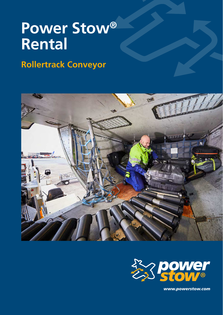# **Power Stow® Rental**

# **Rollertrack Conveyor**





*www.powerstow.com*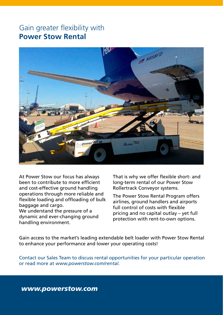## Gain greater flexibility with **Power Stow Rental**



At Power Stow our focus has always been to contribute to more efficient and cost-effective ground handling operations through more reliable and flexible loading and offloading of bulk baggage and cargo. We understand the pressure of a

dynamic and ever-changing ground handling environment.

That is why we offer flexible short- and long-term rental of our Power Stow Rollertrack Conveyor systems.

The Power Stow Rental Program offers airlines, ground handlers and airports full control of costs with flexible pricing and no capital outlay – yet full protection with rent-to-own options.

Gain access to the market's leading extendable belt loader with Power Stow Rental to enhance your performance and lower your operating costs!

Contact our Sales Team to discuss rental opportunities for your particular operation or read more at *www.powerstow.com/rental.*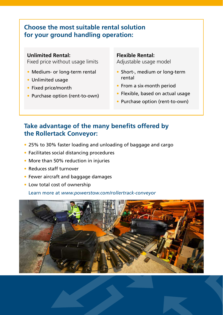## **Choose the most suitable rental solution for your ground handling operation:**

#### **Unlimited Rental:**

Fixed price without usage limits

- Medium- or long-term rental
- Unlimited usage
- Fixed price/month
- Purchase option (rent-to-own)

#### **Flexible Rental:**

Adjustable usage model

- Short-, medium or long-term rental
- From a six-month period
- Flexible, based on actual usage
- Purchase option (rent-to-own)

## **Take advantage of the many benefits offered by the Rollertack Conveyor:**

- 25% to 30% faster loading and unloading of baggage and cargo
- Facilitates social distancing procedures
- More than 50% reduction in injuries
- Reduces staff turnover
- Fewer aircraft and baggage damages
- Low total cost of ownership

Learn more at *[www.powerstow.com/rollertrack-conveyor](https://powerstow.com/rollertrack-conveyor/)*